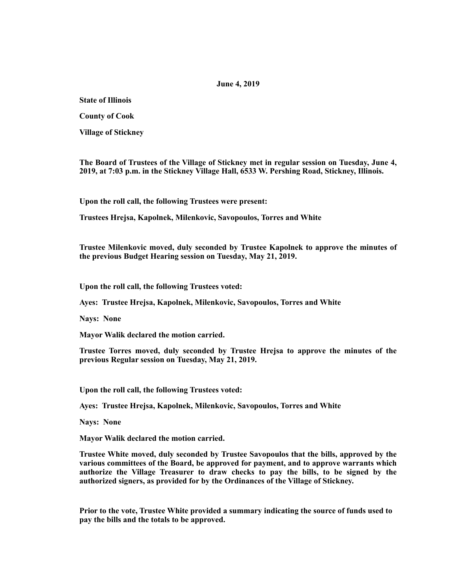## **June 4, 2019**

**State of Illinois** 

**County of Cook** 

**Village of Stickney** 

**The Board of Trustees of the Village of Stickney met in regular session on Tuesday, June 4, 2019, at 7:03 p.m. in the Stickney Village Hall, 6533 W. Pershing Road, Stickney, Illinois.** 

**Upon the roll call, the following Trustees were present:** 

**Trustees Hrejsa, Kapolnek, Milenkovic, Savopoulos, Torres and White** 

**Trustee Milenkovic moved, duly seconded by Trustee Kapolnek to approve the minutes of the previous Budget Hearing session on Tuesday, May 21, 2019.** 

**Upon the roll call, the following Trustees voted:** 

**Ayes: Trustee Hrejsa, Kapolnek, Milenkovic, Savopoulos, Torres and White** 

**Nays: None** 

**Mayor Walik declared the motion carried.** 

**Trustee Torres moved, duly seconded by Trustee Hrejsa to approve the minutes of the previous Regular session on Tuesday, May 21, 2019.** 

**Upon the roll call, the following Trustees voted:** 

**Ayes: Trustee Hrejsa, Kapolnek, Milenkovic, Savopoulos, Torres and White** 

**Nays: None** 

**Mayor Walik declared the motion carried.** 

**Trustee White moved, duly seconded by Trustee Savopoulos that the bills, approved by the various committees of the Board, be approved for payment, and to approve warrants which authorize the Village Treasurer to draw checks to pay the bills, to be signed by the authorized signers, as provided for by the Ordinances of the Village of Stickney.** 

**Prior to the vote, Trustee White provided a summary indicating the source of funds used to pay the bills and the totals to be approved.**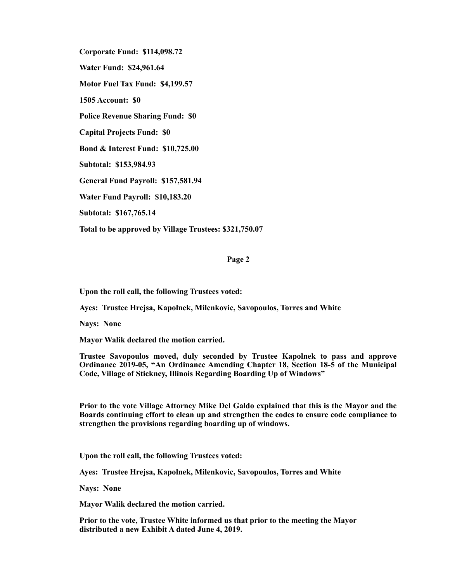**Corporate Fund: \$114,098.72 Water Fund: \$24,961.64 Motor Fuel Tax Fund: \$4,199.57 1505 Account: \$0 Police Revenue Sharing Fund: \$0 Capital Projects Fund: \$0 Bond & Interest Fund: \$10,725.00 Subtotal: \$153,984.93 General Fund Payroll: \$157,581.94 Water Fund Payroll: \$10,183.20 Subtotal: \$167,765.14 Total to be approved by Village Trustees: \$321,750.07** 

## **Page 2**

**Upon the roll call, the following Trustees voted:** 

**Ayes: Trustee Hrejsa, Kapolnek, Milenkovic, Savopoulos, Torres and White** 

**Nays: None** 

**Mayor Walik declared the motion carried.** 

**Trustee Savopoulos moved, duly seconded by Trustee Kapolnek to pass and approve Ordinance 2019-05, "An Ordinance Amending Chapter 18, Section 18-5 of the Municipal Code, Village of Stickney, Illinois Regarding Boarding Up of Windows"** 

**Prior to the vote Village Attorney Mike Del Galdo explained that this is the Mayor and the Boards continuing effort to clean up and strengthen the codes to ensure code compliance to strengthen the provisions regarding boarding up of windows.** 

**Upon the roll call, the following Trustees voted:** 

**Ayes: Trustee Hrejsa, Kapolnek, Milenkovic, Savopoulos, Torres and White** 

**Nays: None** 

**Mayor Walik declared the motion carried.** 

**Prior to the vote, Trustee White informed us that prior to the meeting the Mayor distributed a new Exhibit A dated June 4, 2019.**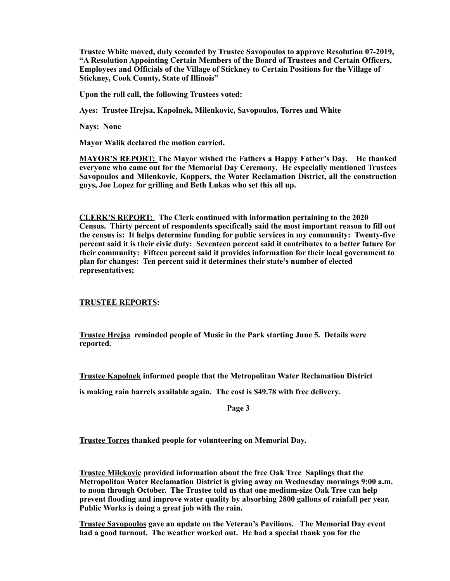**Trustee White moved, duly seconded by Trustee Savopoulos to approve Resolution 07-2019, "A Resolution Appointing Certain Members of the Board of Trustees and Certain Officers, Employees and Officials of the Village of Stickney to Certain Positions for the Village of Stickney, Cook County, State of Illinois"** 

**Upon the roll call, the following Trustees voted:** 

**Ayes: Trustee Hrejsa, Kapolnek, Milenkovic, Savopoulos, Torres and White** 

**Nays: None** 

**Mayor Walik declared the motion carried.** 

**MAYOR'S REPORT: The Mayor wished the Fathers a Happy Father's Day. He thanked everyone who came out for the Memorial Day Ceremony. He especially mentioned Trustees Savopoulos and Milenkovic, Koppers, the Water Reclamation District, all the construction guys, Joe Lopez for grilling and Beth Lukas who set this all up.** 

**CLERK'S REPORT: The Clerk continued with information pertaining to the 2020 Census. Thirty percent of respondents specifically said the most important reason to fill out the census is: It helps determine funding for public services in my community: Twenty-five percent said it is their civic duty: Seventeen percent said it contributes to a better future for their community: Fifteen percent said it provides information for their local government to plan for changes: Ten percent said it determines their state's number of elected representatives;** 

**TRUSTEE REPORTS:** 

**Trustee Hrejsa reminded people of Music in the Park starting June 5. Details were reported.** 

**Trustee Kapolnek informed people that the Metropolitan Water Reclamation District** 

**is making rain barrels available again. The cost is \$49.78 with free delivery.** 

**Page 3** 

**Trustee Torres thanked people for volunteering on Memorial Day.** 

**Trustee Milekovic provided information about the free Oak Tree Saplings that the Metropolitan Water Reclamation District is giving away on Wednesday mornings 9:00 a.m. to noon through October. The Trustee told us that one medium-size Oak Tree can help prevent flooding and improve water quality by absorbing 2800 gallons of rainfall per year. Public Works is doing a great job with the rain.** 

**Trustee Savopoulos gave an update on the Veteran's Pavilions. The Memorial Day event had a good turnout. The weather worked out. He had a special thank you for the**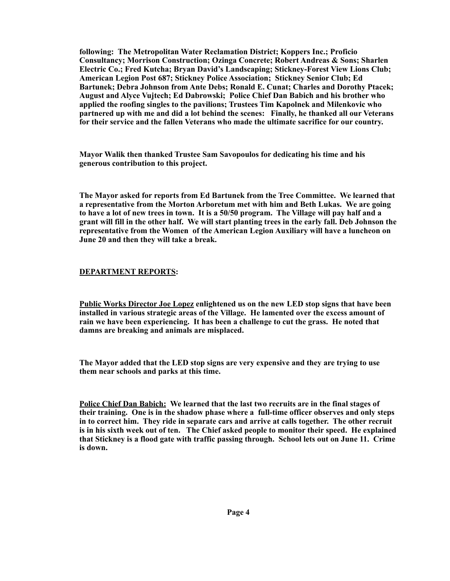**following: The Metropolitan Water Reclamation District; Koppers Inc.; Proficio Consultancy; Morrison Construction; Ozinga Concrete; Robert Andreas & Sons; Sharlen Electric Co.; Fred Kutcha; Bryan David's Landscaping; Stickney-Forest View Lions Club; American Legion Post 687; Stickney Police Association; Stickney Senior Club; Ed Bartunek; Debra Johnson from Ante Debs; Ronald E. Cunat; Charles and Dorothy Ptacek; August and Alyce Vujtech; Ed Dabrowski; Police Chief Dan Babich and his brother who applied the roofing singles to the pavilions; Trustees Tim Kapolnek and Milenkovic who partnered up with me and did a lot behind the scenes: Finally, he thanked all our Veterans for their service and the fallen Veterans who made the ultimate sacrifice for our country.** 

**Mayor Walik then thanked Trustee Sam Savopoulos for dedicating his time and his generous contribution to this project.** 

**The Mayor asked for reports from Ed Bartunek from the Tree Committee. We learned that a representative from the Morton Arboretum met with him and Beth Lukas. We are going to have a lot of new trees in town. It is a 50/50 program. The Village will pay half and a grant will fill in the other half. We will start planting trees in the early fall. Deb Johnson the representative from the Women of the American Legion Auxiliary will have a luncheon on June 20 and then they will take a break.** 

## **DEPARTMENT REPORTS:**

**Public Works Director Joe Lopez enlightened us on the new LED stop signs that have been installed in various strategic areas of the Village. He lamented over the excess amount of rain we have been experiencing. It has been a challenge to cut the grass. He noted that damns are breaking and animals are misplaced.** 

**The Mayor added that the LED stop signs are very expensive and they are trying to use them near schools and parks at this time.** 

**Police Chief Dan Babich: We learned that the last two recruits are in the final stages of their training. One is in the shadow phase where a full-time officer observes and only steps in to correct him. They ride in separate cars and arrive at calls together. The other recruit is in his sixth week out of ten. The Chief asked people to monitor their speed. He explained that Stickney is a flood gate with traffic passing through. School lets out on June 11. Crime is down.**